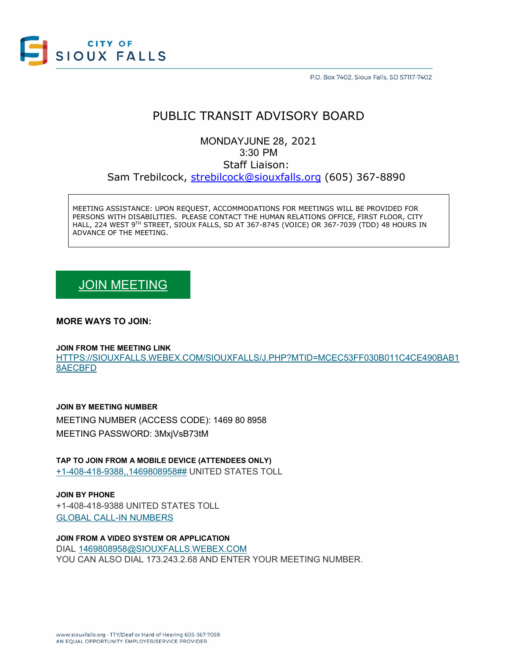

P.O. Box 7402, Sioux Falls, SD 57117-7402

## PUBLIC TRANSIT ADVISORY BOARD

MONDAYJUNE 28, 2021 3:30 PM Staff Liaison: Sam Trebilcock, [strebilcock@siouxfalls.org](mailto:strebilcock@siouxfalls.org) (605) 367-8890

MEETING ASSISTANCE: UPON REQUEST, ACCOMMODATIONS FOR MEETINGS WILL BE PROVIDED FOR PERSONS WITH DISABILITIES. PLEASE CONTACT THE HUMAN RELATIONS OFFICE, FIRST FLOOR, CITY HALL, 224 WEST 9TH STREET, SIOUX FALLS, SD AT 367-8745 (VOICE) OR 367-7039 (TDD) 48 HOURS IN ADVANCE OF THE MEETING.

# [JOIN MEETING](https://siouxfalls.webex.com/siouxfalls/j.php?MTID=mcec53ff030b011c4ce490bab18aecbfd)

### **MORE WAYS TO JOIN:**

#### **JOIN FROM THE MEETING LINK**

[HTTPS://SIOUXFALLS.WEBEX.COM/SIOUXFALLS/J.PHP?MTID=MCEC53FF030B011C4CE490BAB1](https://siouxfalls.webex.com/siouxfalls/j.php?MTID=mcec53ff030b011c4ce490bab18aecbfd) [8AECBFD](https://siouxfalls.webex.com/siouxfalls/j.php?MTID=mcec53ff030b011c4ce490bab18aecbfd)

#### **JOIN BY MEETING NUMBER**

MEETING NUMBER (ACCESS CODE): 1469 80 8958 MEETING PASSWORD: 3MxjVsB73tM

**TAP TO JOIN FROM A MOBILE DEVICE (ATTENDEES ONLY)**

[+1-408-418-9388,,1469808958##](tel:%2B1-408-418-9388,,*01*1469808958%23%23*01*) UNITED STATES TOLL

**JOIN BY PHONE** +1-408-418-9388 UNITED STATES TOLL [GLOBAL CALL-IN NUMBERS](https://siouxfalls.webex.com/siouxfalls/globalcallin.php?MTID=ma79cb109d45b6a591556c918980c7157)

**JOIN FROM A VIDEO SYSTEM OR APPLICATION** DIAL [1469808958@SIOUXFALLS.WEBEX.COM](sip:1469808958@siouxfalls.webex.com) YOU CAN ALSO DIAL 173.243.2.68 AND ENTER YOUR MEETING NUMBER.